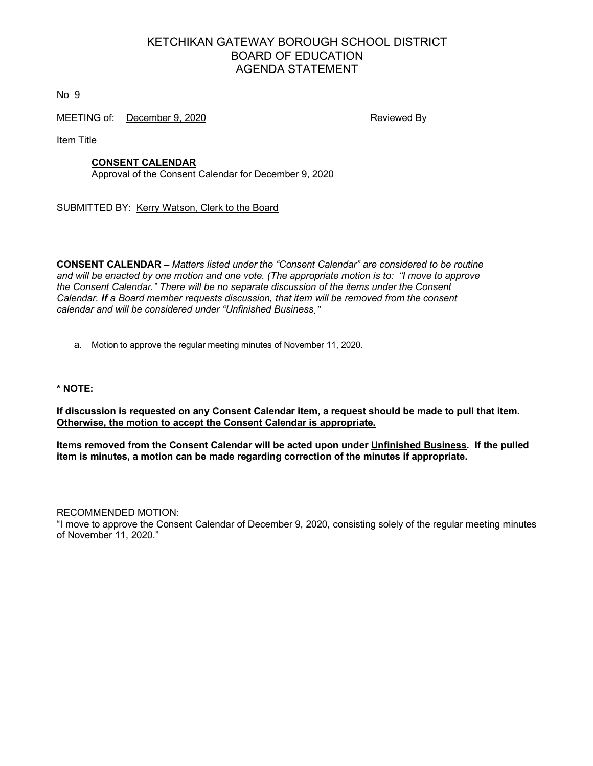# KETCHIKAN GATEWAY BOROUGH SCHOOL DISTRICT BOARD OF EDUCATION AGENDA STATEMENT

 $No<sub>9</sub>$ 

MEETING of: December 9, 2020 **Reviewed By** 

Item Title

# **CONSENT CALENDAR**

Approval of the Consent Calendar for December 9, 2020

SUBMITTED BY: Kerry Watson, Clerk to the Board

**CONSENT CALENDAR –** *Matters listed under the "Consent Calendar" are considered to be routine and will be enacted by one motion and one vote. (The appropriate motion is to: "I move to approve the Consent Calendar." There will be no separate discussion of the items under the Consent Calendar. If a Board member requests discussion, that item will be removed from the consent calendar and will be considered under "Unfinished Business."*

a. Motion to approve the regular meeting minutes of November 11, 2020.

**\* NOTE:**

**If discussion is requested on any Consent Calendar item, a request should be made to pull that item. Otherwise, the motion to accept the Consent Calendar is appropriate.**

**Items removed from the Consent Calendar will be acted upon under Unfinished Business. If the pulled item is minutes, a motion can be made regarding correction of the minutes if appropriate.** 

RECOMMENDED MOTION: "I move to approve the Consent Calendar of December 9, 2020, consisting solely of the regular meeting minutes of November 11, 2020."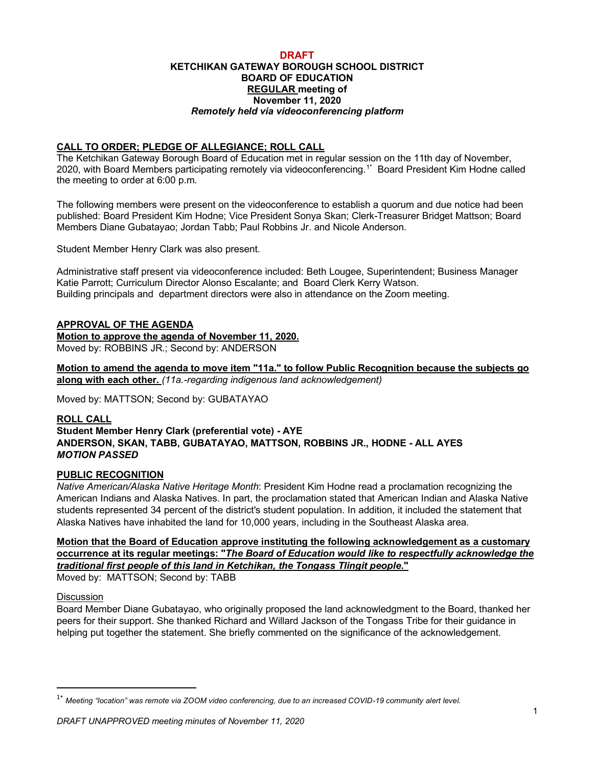#### **DRAFT KETCHIKAN GATEWAY BOROUGH SCHOOL DISTRICT BOARD OF EDUCATION REGULAR meeting of November 11, 2020** *Remotely held via videoconferencing platform*

# **CALL TO ORDER; PLEDGE OF ALLEGIANCE; ROLL CALL**

The Ketchikan Gateway Borough Board of Education met in regular session on the 11th day of November, 2020, with Board Members participating remotely via videoconferencing. 1\* Board President Kim Hodne called the meeting to order at 6:00 p.m.

The following members were present on the videoconference to establish a quorum and due notice had been published: Board President Kim Hodne; Vice President Sonya Skan; Clerk-Treasurer Bridget Mattson; Board Members Diane Gubatayao; Jordan Tabb; Paul Robbins Jr. and Nicole Anderson.

Student Member Henry Clark was also present.

Administrative staff present via videoconference included: Beth Lougee, Superintendent; Business Manager Katie Parrott; Curriculum Director Alonso Escalante; and Board Clerk Kerry Watson. Building principals and department directors were also in attendance on the Zoom meeting.

# **APPROVAL OF THE AGENDA**

**Motion to approve the agenda of November 11, 2020.** Moved by: ROBBINS JR.; Second by: ANDERSON

**Motion to amend the agenda to move item "11a." to follow Public Recognition because the subjects go along with each other.** *(11a.-regarding indigenous land acknowledgement)*

Moved by: MATTSON; Second by: GUBATAYAO

#### **ROLL CALL**

# **Student Member Henry Clark (preferential vote) - AYE ANDERSON, SKAN, TABB, GUBATAYAO, MATTSON, ROBBINS JR., HODNE - ALL AYES** *MOTION PASSED*

#### **PUBLIC RECOGNITION**

*Native American/Alaska Native Heritage Month*: President Kim Hodne read a proclamation recognizing the American Indians and Alaska Natives. In part, the proclamation stated that American Indian and Alaska Native students represented 34 percent of the district's student population. In addition, it included the statement that Alaska Natives have inhabited the land for 10,000 years, including in the Southeast Alaska area.

# **Motion that the Board of Education approve instituting the following acknowledgement as a customary occurrence at its regular meetings: "***The Board of Education would like to respectfully acknowledge the traditional first people of this land in Ketchikan, the Tongass Tlingit people***."**

Moved by: MATTSON; Second by: TABB

#### **Discussion**

Board Member Diane Gubatayao, who originally proposed the land acknowledgment to the Board, thanked her peers for their support. She thanked Richard and Willard Jackson of the Tongass Tribe for their guidance in helping put together the statement. She briefly commented on the significance of the acknowledgement.

 <sup>1\*</sup> *Meeting "location" was remote via ZOOM video conferencing, due to an increased COVID-19 community alert level.*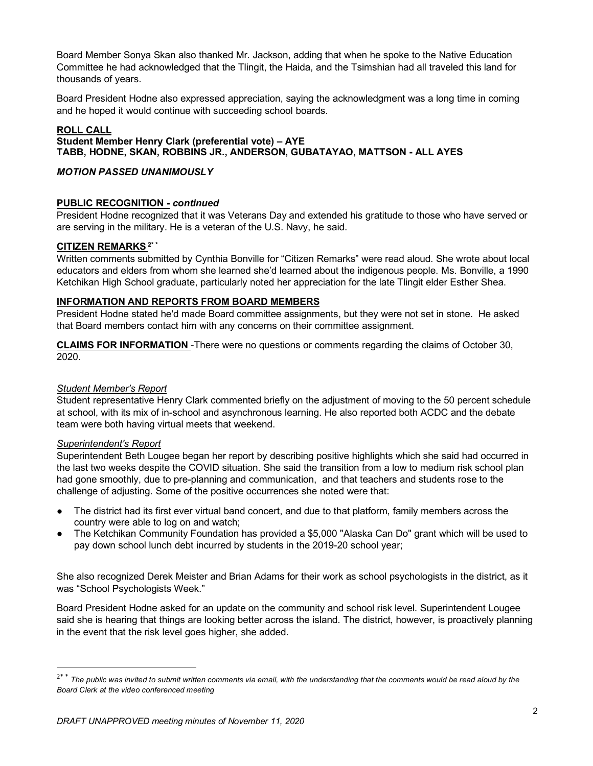Board Member Sonya Skan also thanked Mr. Jackson, adding that when he spoke to the Native Education Committee he had acknowledged that the Tlingit, the Haida, and the Tsimshian had all traveled this land for thousands of years.

Board President Hodne also expressed appreciation, saying the acknowledgment was a long time in coming and he hoped it would continue with succeeding school boards.

# **ROLL CALL**

# **Student Member Henry Clark (preferential vote) – AYE TABB, HODNE, SKAN, ROBBINS JR., ANDERSON, GUBATAYAO, MATTSON - ALL AYES**

# *MOTION PASSED UNANIMOUSLY*

# **PUBLIC RECOGNITION -** *continued*

President Hodne recognized that it was Veterans Day and extended his gratitude to those who have served or are serving in the military. He is a veteran of the U.S. Navy, he said.

# **CITIZEN REMARKS 2\* \***

Written comments submitted by Cynthia Bonville for "Citizen Remarks" were read aloud. She wrote about local educators and elders from whom she learned she'd learned about the indigenous people. Ms. Bonville, a 1990 Ketchikan High School graduate, particularly noted her appreciation for the late Tlingit elder Esther Shea.

#### **INFORMATION AND REPORTS FROM BOARD MEMBERS**

President Hodne stated he'd made Board committee assignments, but they were not set in stone. He asked that Board members contact him with any concerns on their committee assignment.

**CLAIMS FOR INFORMATION** -There were no questions or comments regarding the claims of October 30, 2020.

### *Student Member's Report*

Student representative Henry Clark commented briefly on the adjustment of moving to the 50 percent schedule at school, with its mix of in-school and asynchronous learning. He also reported both ACDC and the debate team were both having virtual meets that weekend.

#### *Superintendent's Report*

Superintendent Beth Lougee began her report by describing positive highlights which she said had occurred in the last two weeks despite the COVID situation. She said the transition from a low to medium risk school plan had gone smoothly, due to pre-planning and communication, and that teachers and students rose to the challenge of adjusting. Some of the positive occurrences she noted were that:

- The district had its first ever virtual band concert, and due to that platform, family members across the country were able to log on and watch;
- The Ketchikan Community Foundation has provided a \$5,000 "Alaska Can Do" grant which will be used to pay down school lunch debt incurred by students in the 2019-20 school year;

She also recognized Derek Meister and Brian Adams for their work as school psychologists in the district, as it was "School Psychologists Week."

Board President Hodne asked for an update on the community and school risk level. Superintendent Lougee said she is hearing that things are looking better across the island. The district, however, is proactively planning in the event that the risk level goes higher, she added.

<sup>&</sup>lt;sup>2\* \*</sup> The public was invited to submit written comments via email, with the understanding that the comments would be read aloud by the *Board Clerk at the video conferenced meeting*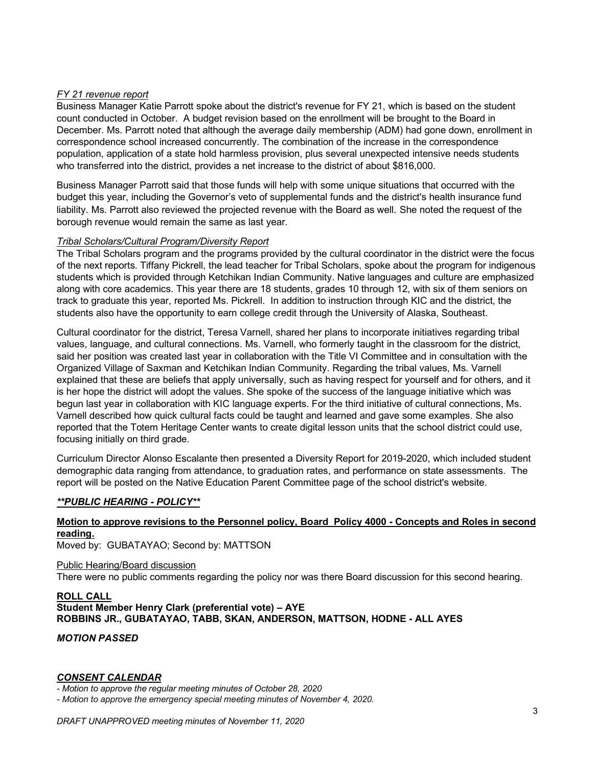# *FY 21 revenue report*

Business Manager Katie Parrott spoke about the district's revenue for FY 21, which is based on the student count conducted in October. A budget revision based on the enrollment will be brought to the Board in December. Ms. Parrott noted that although the average daily membership (ADM) had gone down, enrollment in correspondence school increased concurrently. The combination of the increase in the correspondence population, application of a state hold harmless provision, plus several unexpected intensive needs students who transferred into the district, provides a net increase to the district of about \$816,000.

Business Manager Parrott said that those funds will help with some unique situations that occurred with the budget this year, including the Governor's veto of supplemental funds and the district's health insurance fund liability. Ms. Parrott also reviewed the projected revenue with the Board as well. She noted the request of the borough revenue would remain the same as last year.

# *Tribal Scholars/Cultural Program/Diversity Report*

The Tribal Scholars program and the programs provided by the cultural coordinator in the district were the focus of the next reports. Tiffany Pickrell, the lead teacher for Tribal Scholars, spoke about the program for indigenous students which is provided through Ketchikan Indian Community. Native languages and culture are emphasized along with core academics. This year there are 18 students, grades 10 through 12, with six of them seniors on track to graduate this year, reported Ms. Pickrell. In addition to instruction through KIC and the district, the students also have the opportunity to earn college credit through the University of Alaska, Southeast.

Cultural coordinator for the district, Teresa Varnell, shared her plans to incorporate initiatives regarding tribal values, language, and cultural connections. Ms. Varnell, who formerly taught in the classroom for the district, said her position was created last year in collaboration with the Title VI Committee and in consultation with the Organized Village of Saxman and Ketchikan Indian Community. Regarding the tribal values, Ms. Varnell explained that these are beliefs that apply universally, such as having respect for yourself and for others, and it is her hope the district will adopt the values. She spoke of the success of the language initiative which was begun last year in collaboration with KIC language experts. For the third initiative of cultural connections, Ms. Varnell described how quick cultural facts could be taught and learned and gave some examples. She also reported that the Totem Heritage Center wants to create digital lesson units that the school district could use, focusing initially on third grade.

Curriculum Director Alonso Escalante then presented a Diversity Report for 2019-2020, which included student demographic data ranging from attendance, to graduation rates, and performance on state assessments. The report will be posted on the Native Education Parent Committee page of the school district's website.

# *\*\*PUBLIC HEARING - POLICY\*\**

# **Motion to approve revisions to the Personnel policy, Board Policy 4000 - Concepts and Roles in second reading.**

Moved by: GUBATAYAO; Second by: MATTSON

#### Public Hearing/Board discussion

There were no public comments regarding the policy nor was there Board discussion for this second hearing.

# **ROLL CALL Student Member Henry Clark (preferential vote) – AYE ROBBINS JR., GUBATAYAO, TABB, SKAN, ANDERSON, MATTSON, HODNE - ALL AYES**

# *MOTION PASSED*

#### *CONSENT CALENDAR*

*- Motion to approve the regular meeting minutes of October 28, 2020*

*- Motion to approve the emergency special meeting minutes of November 4, 2020.*